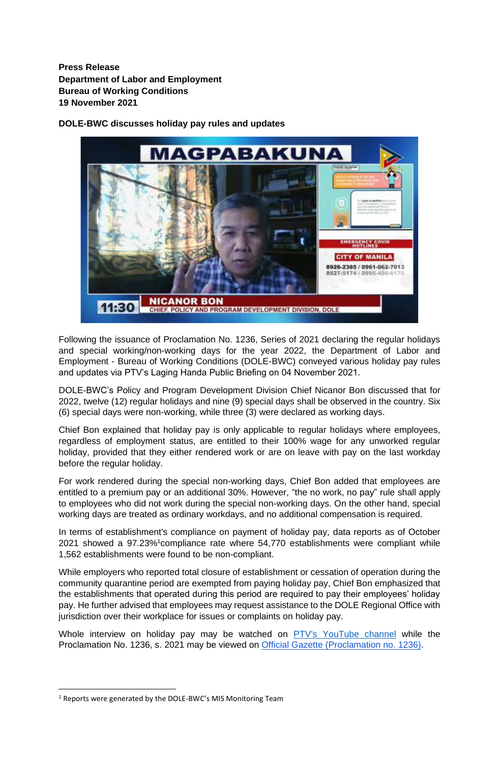**Press Release Department of Labor and Employment Bureau of Working Conditions 19 November 2021**

**DOLE-BWC discusses holiday pay rules and updates**



Following the issuance of Proclamation No. 1236, Series of 2021 declaring the regular holidays and special working/non-working days for the year 2022, the Department of Labor and Employment - Bureau of Working Conditions (DOLE-BWC) conveyed various holiday pay rules and updates via PTV's Laging Handa Public Briefing on 04 November 2021.

DOLE-BWC's Policy and Program Development Division Chief Nicanor Bon discussed that for 2022, twelve (12) regular holidays and nine (9) special days shall be observed in the country. Six (6) special days were non-working, while three (3) were declared as working days.

Chief Bon explained that holiday pay is only applicable to regular holidays where employees, regardless of employment status, are entitled to their 100% wage for any unworked regular holiday, provided that they either rendered work or are on leave with pay on the last workday before the regular holiday.

For work rendered during the special non-working days, Chief Bon added that employees are entitled to a premium pay or an additional 30%. However, "the no work, no pay" rule shall apply to employees who did not work during the special non-working days. On the other hand, special working days are treated as ordinary workdays, and no additional compensation is required.

In terms of establishment's compliance on payment of holiday pay, data reports as of October 2021 showed a 97.23%<sup>1</sup>compliance rate where 54,770 establishments were compliant while 1,562 establishments were found to be non-compliant.

While employers who reported total closure of establishment or cessation of operation during the community quarantine period are exempted from paying holiday pay, Chief Bon emphasized that the establishments that operated during this period are required to pay their employees' holiday pay. He further advised that employees may request assistance to the DOLE Regional Office with jurisdiction over their workplace for issues or complaints on holiday pay.

Whole interview on holiday pay may be watched on [PTV's YouTube channel](https://www.youtube.com/watch?v=TwOMH4K7hjg%20) while the Proclamation No. 1236, s. 2021 may be viewed on [Official Gazette \(Proclamation no. 1236\).](https://mirror.officialgazette.gov.ph/2021/10/29/proclamation-no-1236-s-2021/)

 $1$  Reports were generated by the DOLE-BWC's MIS Monitoring Team